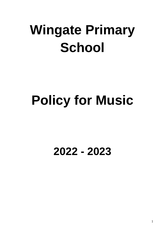# **Wingate Primary School**

# **Policy for Music**

**2022 - 2023**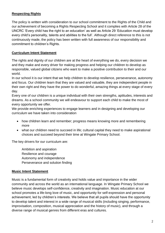### **Respecting Rights**

The policy is written with consideration to our school commitment to the Rights of the Child and our achievement of becoming a Rights Respecting School and it complies with Article 28 of the UNCRC 'Every child has the right to an education' as well as Article 29 'Education must develop every child's personality, talents and abilities to the full'. Although direct reference to this is not continuously made, the policy has been written with full awareness of our responsibility and commitment to children's Rights.

# **Curriculum Intent Statement**

The rights and dignity of our children are at the heart of everything we do, every decision we and they make and every driver for making progress and helping our children to develop as responsible, valued global citizens who want to make a positive contribution to their and our world.

In our school it is our intent that we help children to develop resilience, perseverance, autonomy and focus. Our children learn that they are valued and valuable, they are independent people in their own right and they have the power to do wonderful, amazing things at every stage of every day.

Every one of our children is a unique individual with their own strengths, aptitudes, interests and dreams. As a school community we will endeavour to support each child to make the most of every opportunity we offer.

We provide enriching experiences to engage learners and in designing and developing our curriculum we have taken into consideration

- how children learn and remember; progress means knowing more and remembering more
- what our children need to succeed in life; cultural capital they need to make aspirational choices and succeed beyond their time at Wingate Primary School.

The key drivers for our curriculum are:

Ambition and aspiration Resilience and courage Autonomy and independence Perseverance and solution finding

#### **Music Intent Statement**

Music is a fundamental form of creativity and holds value and importance in the wider community and across the world as an international language. In Wingate Primary School we believe music develops self-confidence, creativity and imagination. Music education at our school promotes a life-long love of music, and opportunity for self-expression and personal achievement, led by children's interests. We believe that all pupils should have the opportunity to develop talent and interest in a wide range of musical skills (including singing, performance, improvisation, composition, musical appreciation and the history of music), and through a diverse range of musical genres from different eras and cultures.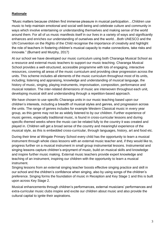# **Rationale**

"Music matters because children find immense pleasure in musical participation…Children use music to help maintain emotional and social well-being and celebrate culture and community in ways which involve entertaining or understanding themselves and making sense of the world around them. For all of us music manifests itself in our lives in a variety of ways and significantly enhances and enriches our understanding of ourselves and the world…Both UNESCO and the UN Convention on the Rights of the Child recognise the importance of creativity and highlight the role of teachers in fostering children's musical capacity to make connections, take risks and innovate." (Burnard and Murphy, 2017)

At our school we have developed our music curriculum using both Charanga Musical School as a resource and external music teachers to support our music teaching. Charanga Musical School provides a well-structured, accessible programme with lots of engaging, interactive resources, covering all areas of the music curriculum and providing clear progression across the units. This scheme includes all elements of the music curriculum throughout most of its units, including; listening and appraising, knowledge and understanding of musical language, the history of music, singing, playing instruments, improvisation, composition, performance and musical notation. The inter-related dimensions of music are interwoven throughout each unit, developing musical skill and understanding through a repetition-based approach.

We have chosen to use specific Charanga units in our music teaching based upon our children's interests, including a breadth of musical styles and genres, and progression across the units. The range of genres includes for example Western Classical music in every year group, as this genre may not be as widely listened to by our children. Further experience of music genres, especially traditional music, is found in cross-curricular lessons and during specific-themed weeks where the music can be related fully to the country it was created and played in. Children will get a broad sense of the country and meaningful experience of the musical style, as this is embedded cross-curricular, through languages, history, art and food etc.

During their time at Wingate Primary School every child has the opportunity to learn a musical instrument through whole class lessons with an external music teacher and, if they would like to, progress further on a musical instrument in small group instrumental lessons. Instrumental and singing lessons capture children's enjoyment of music, build on musical skills and knowledge and inspire further music making. External music teachers provide expert knowledge and teaching of an instrument, inspiring our children with the opportunity to learn a musical instrument.

Singing lessons from an external singing teacher boosts effective singing practice and skill in our school and the children's confidence when singing, also by using songs of the children's preference. Singing forms the foundation of music in Reception and Key Stage 1 and this is built upon across Key Stage 2.

Musical enhancements through children's performances, external musicians' performances and extra-curricular music clubs inspire and excite our children about music and also provide the cultural capital to ignite their aspirations.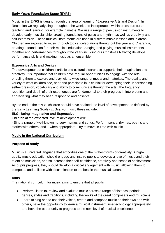# **Early Years Foundation Stage (EYFS)**

Music in the EYFS is taught through the area of learning: "Expressive Arts and Design". In Reception we regularly sing throughout the week and incorporate it within cross-curricular teaching and learning, for example in maths. We use a range of percussion instruments to develop early musicianship, creating foundations of pulse and rhythm, as well as creativity and self-expression. These musical instruments are used in discrete music lessons and in areas. Children are exposed to music through topics, celebrations throughout the year and Charanga, creating a foundation for their musical education. Singing and playing musical instruments together and performances throughout the year (including our Christmas Nativity) develops performance skills and making music as an ensemble.

# **Expressive Arts and Design**

The development of children's artistic and cultural awareness supports their imagination and creativity. It is important that children have regular opportunities to engage with the arts, enabling them to explore and play with a wide range of media and materials. The quality and variety of what children see, hear and participate in is crucial for developing their understanding, self-expression, vocabulary and ability to communicate through the arts. The frequency, repetition and depth of their experiences are fundamental to their progress in interpreting and appreciating what they hear, respond to and observe.

By the end of the EYFS, children should have attained the level of development as defined by the Early Learning Goals (ELGs). For music these include:

#### **ELG: Being Imaginative and Expressive**

Children at the expected level of development will:

- Sing a range of well-known nursery rhymes and songs; Perform songs, rhymes, poems and stories with others, and – when appropriate – try to move in time with music.

# **Music in the National Curriculum**

#### **Purpose of study**

Music is a universal language that embodies one of the highest forms of creativity. A highquality music education should engage and inspire pupils to develop a love of music and their talent as musicians, and so increase their self-confidence, creativity and sense of achievement. As pupils progress, they should develop a critical engagement with music, allowing them to compose, and to listen with discrimination to the best in the musical canon.

#### **Aims**

The national curriculum for music aims to ensure that all pupils:

- Perform, listen to, review and evaluate music across a range of historical periods, genres, styles and traditions, including the works of the great composers and musicians.
- Learn to sing and to use their voices, create and compose music on their own and with others, have the opportunity to learn a musical instrument, use technology appropriately and have the opportunity to progress to the next level of musical excellence.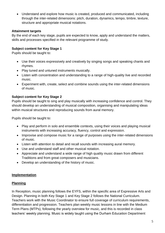• Understand and explore how music is created, produced and communicated, including through the inter-related dimensions: pitch, duration, dynamics, tempo, timbre, texture, structure and appropriate musical notations.

#### **Attainment targets**

By the end of each key stage, pupils are expected to know, apply and understand the matters, skills and processes specified in the relevant programme of study.

### **Subject content for Key Stage 1**

Pupils should be taught to:

- Use their voices expressively and creatively by singing songs and speaking chants and rhymes.
- Play tuned and untuned instruments musically.
- Listen with concentration and understanding to a range of high-quality live and recorded music.
- Experiment with, create, select and combine sounds using the inter-related dimensions of music.

# **Subject content for Key Stage 2**

Pupils should be taught to sing and play musically with increasing confidence and control. They should develop an understanding of musical composition, organising and manipulating ideas within musical structures and reproducing sounds from aural memory.

Pupils should be taught to:

- Play and perform in solo and ensemble contexts, using their voices and playing musical instruments with increasing accuracy, fluency, control and expression.
- Improvise and compose music for a range of purposes using the inter-related dimensions of music.
- Listen with attention to detail and recall sounds with increasing aural memory.
- Use and understand staff and other musical notation.
- Appreciate and understand a wide range of high quality music drawn from different Traditions and from great composers and musicians.
- Develop an understanding of the history of music.

#### **Implementation**

#### **Planning**

In Reception, music planning follows the EYFS, within the specific area of Expressive Arts and Design. Planning in both Key Stage 1 and Key Stage 2 follows the National Curriculum. Teachers work with the Music Coordinator to ensure full coverage of curriculum requirements, differentiation and progression. Teachers plan weekly music lessons in line with the Medium Term Plans (MTPs), following the yearly overview for music, and this is recorded in class teachers' weekly planning. Music is widely taught using the Durham Education Department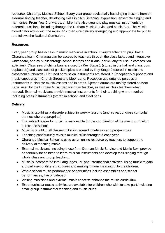resource, Charanga Musical School. Every year group additionally has singing lessons from an external singing teacher, developing skills in pitch, listening, expression, ensemble singing and harmonies. From Year 2 onwards, children are also taught to play musical instruments by external musicians, including through the Durham Music Service and Music Box. The Music Coordinator works with the musicians to ensure delivery is engaging and appropriate for pupils and follows the National Curriculum.

# **Resources**

Every year group has access to music resources in school. Every teacher and pupil has a Charanga login. Charanga can be access by teachers through the class laptop and interactive whiteboard, and by pupils through school laptops and iPads (particularly for use in composition activities). Class sets of chime bars are used by Key Stage 1 (stored in the hall and classroom cupboards) and class sets of glockenspiels are used by Key Stage 2 (stored in music and classroom cupboards). Untuned percussion instruments are stored in Reception's cupboard and music cupboards in Church Street and Moor Lane. Reception use untuned percussion instruments in discrete music lessons and in areas. Djembe drums are mainly stored at Moor Lane, used by the Durham Music Service drum teacher, as well as class teachers when needed. External musicians provide musical instruments for their teaching where required, including brass instruments (stored in school) and steel pans.

# **Delivery**

- Music is taught as a discrete subject in weekly lessons (and as part of cross curricular themes where appropriate).
- The subject leader for music is responsible for the coordination of the music curriculum across the school.
- Music is taught in all classes following agreed timetables and programmes.
- Teaching continuously revisits musical skills throughout each year.
- Charanga Musical School is used as an online resource by teachers to support the delivery of teaching music.
- External musicians, including those from Durham Music Service and Music Box, provide opportunity for children to learn musical instruments and develop their singing through whole-class and group teaching.
- Music is incorporated into Languages, PE and International activities, using music to gain a broad view of different cultures and making it more meaningful to the children.
- Whole school music performance opportunities include assemblies and school performances, live or videoed.
- Visiting musicians and external music concerts enhance the music curriculum.
- Extra-curricular music activities are available for children who wish to take part, including small group instrumental teaching and music clubs.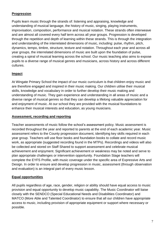# **Progression**

Pupils learn music through the strands of: listening and appraising, knowledge and understanding of musical language, the history of music, singing, playing instruments, improvisation, composition, performance and musical notation. These strands often interweave and are almost all covered every half term across all year groups. Progression is developed through the repetition and depth of learning within these strands. This is through the integration and understanding of the interrelated dimensions of music, including: pulse, rhythm, pitch, dynamics, tempo, timbre, structure, texture and notation. Throughout each year and across all year groups, the interrelated dimensions of music are built upon the foundation of pulse, creating a spiral of musical learning across the school. Our music teaching also aims to expose pupils to a diverse range of musical genres and musicians, across history and across different cultures.

# **Impact**

At Wingate Primary School the impact of our music curriculum is that children enjoy music and are therefore engaged and inspired in their music making. Our children utilise their musical skills, knowledge and vocabulary in order to further develop their music making and understanding of music. They gain experience and understanding in all areas of music and a diverse range of musical genres so that they can develop a lifelong valuable appreciation for and enjoyment of music. At our school they are provided with the musical foundations to enhance their musical interests and education, as young musicians.

#### **Assessment, recording and reporting**

Teacher assessments of music follow the school's assessment policy. Music assessment is recorded throughout the year and reported to parents at the end of each academic year. Music assessment refers to the County progression document, identifying key skills required in each year group. Teachers will use floor books and foundation books to collate and record music work, as appropriate (suggested recording found in the MTPs). Recordings and videos will also be collected and stored on Staff Shared to support assessment and celebrate musical achievement and enjoyment. Significant achievement or weakness may be noted and serve to plan appropriate challenges or intervention opportunity. Foundation Stage teachers will complete the EYFS Profile, with music coverage under the specific area of Expressive Arts and Design. In order to ensure and develop progression in music, assessment (through observation and evaluation) is an integral part of every music lesson.

#### **Equal opportunities**

All pupils regardless of age, race, gender, religion or ability should have equal access to music provision and equal opportunity to develop music capability. The Music Coordinator will liaise closely with the SENDCO (Special Educational Needs and Disabilities Coordinator) and MATCO (More Able and Talented Coordinator) to ensure that all our children have appropriate access to music, including provision of appropriate equipment or support where necessary or possible.